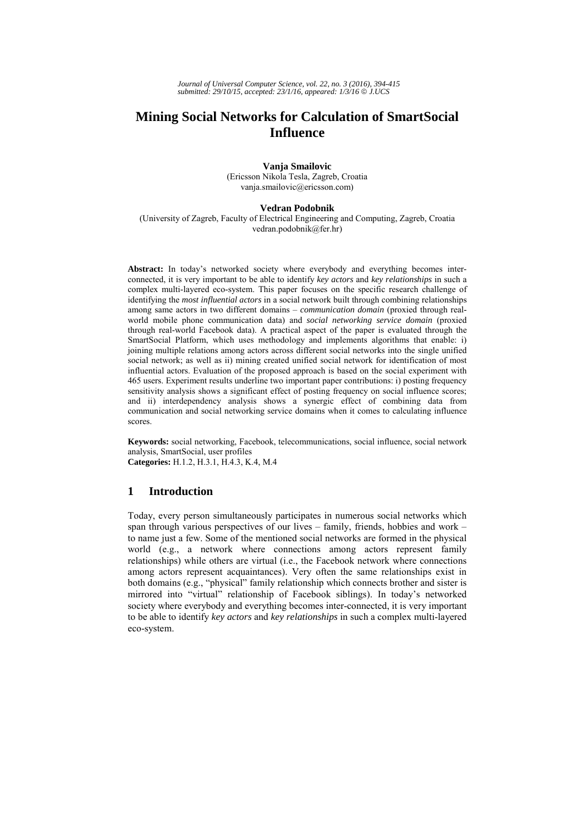# **Mining Social Networks for Calculation of SmartSocial Influence**

**Vanja Smailovic**  (Ericsson Nikola Tesla, Zagreb, Croatia vanja.smailovic@ericsson.com)

### **Vedran Podobnik**

(University of Zagreb, Faculty of Electrical Engineering and Computing, Zagreb, Croatia vedran.podobnik@fer.hr)

**Abstract:** In today's networked society where everybody and everything becomes interconnected, it is very important to be able to identify *key actors* and *key relationships* in such a complex multi-layered eco-system. This paper focuses on the specific research challenge of identifying the *most influential actors* in a social network built through combining relationships among same actors in two different domains – *communication domain* (proxied through realworld mobile phone communication data) and *social networking service domain* (proxied through real-world Facebook data). A practical aspect of the paper is evaluated through the SmartSocial Platform, which uses methodology and implements algorithms that enable: i) joining multiple relations among actors across different social networks into the single unified social network; as well as ii) mining created unified social network for identification of most influential actors. Evaluation of the proposed approach is based on the social experiment with 465 users. Experiment results underline two important paper contributions: i) posting frequency sensitivity analysis shows a significant effect of posting frequency on social influence scores; and ii) interdependency analysis shows a synergic effect of combining data from communication and social networking service domains when it comes to calculating influence scores.

**Keywords:** social networking, Facebook, telecommunications, social influence, social network analysis, SmartSocial, user profiles **Categories:** H.1.2, H.3.1, H.4.3, K.4, M.4

# **1 Introduction**

Today, every person simultaneously participates in numerous social networks which span through various perspectives of our lives – family, friends, hobbies and work – to name just a few. Some of the mentioned social networks are formed in the physical world (e.g., a network where connections among actors represent family relationships) while others are virtual (i.e., the Facebook network where connections among actors represent acquaintances). Very often the same relationships exist in both domains (e.g., "physical" family relationship which connects brother and sister is mirrored into "virtual" relationship of Facebook siblings). In today's networked society where everybody and everything becomes inter-connected, it is very important to be able to identify *key actors* and *key relationships* in such a complex multi-layered eco-system.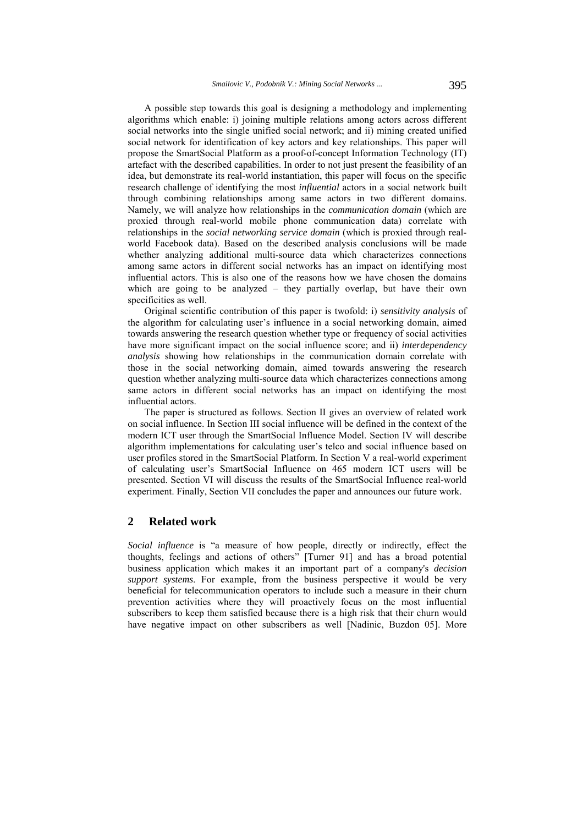A possible step towards this goal is designing a methodology and implementing algorithms which enable: i) joining multiple relations among actors across different social networks into the single unified social network; and ii) mining created unified social network for identification of key actors and key relationships. This paper will propose the SmartSocial Platform as a proof-of-concept Information Technology (IT) artefact with the described capabilities. In order to not just present the feasibility of an idea, but demonstrate its real-world instantiation, this paper will focus on the specific research challenge of identifying the most *influential* actors in a social network built through combining relationships among same actors in two different domains. Namely, we will analyze how relationships in the *communication domain* (which are proxied through real-world mobile phone communication data) correlate with relationships in the *social networking service domain* (which is proxied through realworld Facebook data). Based on the described analysis conclusions will be made whether analyzing additional multi-source data which characterizes connections among same actors in different social networks has an impact on identifying most influential actors. This is also one of the reasons how we have chosen the domains which are going to be analyzed – they partially overlap, but have their own specificities as well.

Original scientific contribution of this paper is twofold: i) *sensitivity analysis* of the algorithm for calculating user's influence in a social networking domain, aimed towards answering the research question whether type or frequency of social activities have more significant impact on the social influence score; and ii) *interdependency analysis* showing how relationships in the communication domain correlate with those in the social networking domain, aimed towards answering the research question whether analyzing multi-source data which characterizes connections among same actors in different social networks has an impact on identifying the most influential actors.

The paper is structured as follows. Section II gives an overview of related work on social influence. In Section III social influence will be defined in the context of the modern ICT user through the SmartSocial Influence Model. Section IV will describe algorithm implementations for calculating user's telco and social influence based on user profiles stored in the SmartSocial Platform. In Section V a real-world experiment of calculating user's SmartSocial Influence on 465 modern ICT users will be presented. Section VI will discuss the results of the SmartSocial Influence real-world experiment. Finally, Section VII concludes the paper and announces our future work.

# **2 Related work**

*Social influence* is "a measure of how people, directly or indirectly, effect the thoughts, feelings and actions of others" [Turner 91] and has a broad potential business application which makes it an important part of a company's *decision support systems*. For example, from the business perspective it would be very beneficial for telecommunication operators to include such a measure in their churn prevention activities where they will proactively focus on the most influential subscribers to keep them satisfied because there is a high risk that their churn would have negative impact on other subscribers as well [Nadinic, Buzdon 05]. More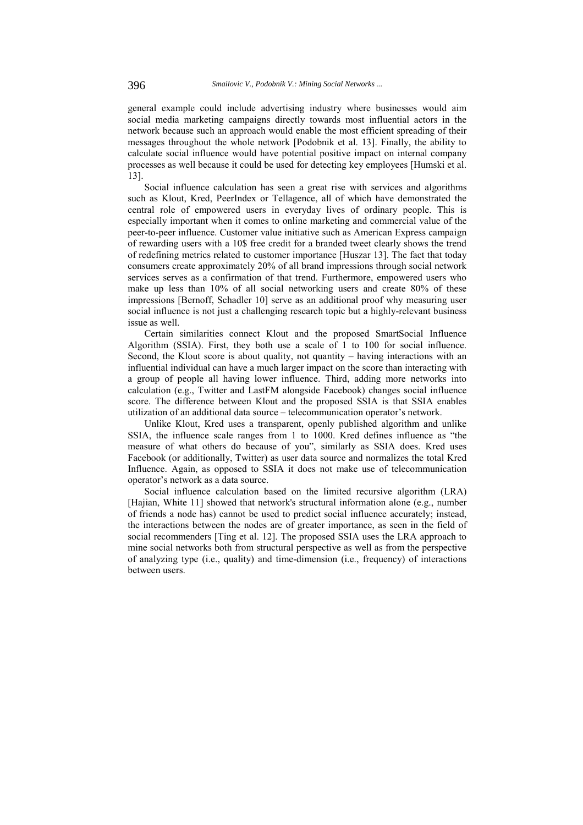general example could include advertising industry where businesses would aim social media marketing campaigns directly towards most influential actors in the network because such an approach would enable the most efficient spreading of their messages throughout the whole network [Podobnik et al. 13]. Finally, the ability to calculate social influence would have potential positive impact on internal company processes as well because it could be used for detecting key employees [Humski et al. 13].

Social influence calculation has seen a great rise with services and algorithms such as Klout, Kred, PeerIndex or Tellagence, all of which have demonstrated the central role of empowered users in everyday lives of ordinary people. This is especially important when it comes to online marketing and commercial value of the peer-to-peer influence. Customer value initiative such as American Express campaign of rewarding users with a 10\$ free credit for a branded tweet clearly shows the trend of redefining metrics related to customer importance [Huszar 13]. The fact that today consumers create approximately 20% of all brand impressions through social network services serves as a confirmation of that trend. Furthermore, empowered users who make up less than 10% of all social networking users and create 80% of these impressions [Bernoff, Schadler 10] serve as an additional proof why measuring user social influence is not just a challenging research topic but a highly-relevant business issue as well.

Certain similarities connect Klout and the proposed SmartSocial Influence Algorithm (SSIA). First, they both use a scale of 1 to 100 for social influence. Second, the Klout score is about quality, not quantity – having interactions with an influential individual can have a much larger impact on the score than interacting with a group of people all having lower influence. Third, adding more networks into calculation (e.g., Twitter and LastFM alongside Facebook) changes social influence score. The difference between Klout and the proposed SSIA is that SSIA enables utilization of an additional data source – telecommunication operator's network.

Unlike Klout, Kred uses a transparent, openly published algorithm and unlike SSIA, the influence scale ranges from 1 to 1000. Kred defines influence as "the measure of what others do because of you", similarly as SSIA does. Kred uses Facebook (or additionally, Twitter) as user data source and normalizes the total Kred Influence. Again, as opposed to SSIA it does not make use of telecommunication operator's network as a data source.

Social influence calculation based on the limited recursive algorithm (LRA) [Hajian, White 11] showed that network's structural information alone (e.g., number of friends a node has) cannot be used to predict social influence accurately; instead, the interactions between the nodes are of greater importance, as seen in the field of social recommenders [Ting et al. 12]. The proposed SSIA uses the LRA approach to mine social networks both from structural perspective as well as from the perspective of analyzing type (i.e., quality) and time-dimension (i.e., frequency) of interactions between users.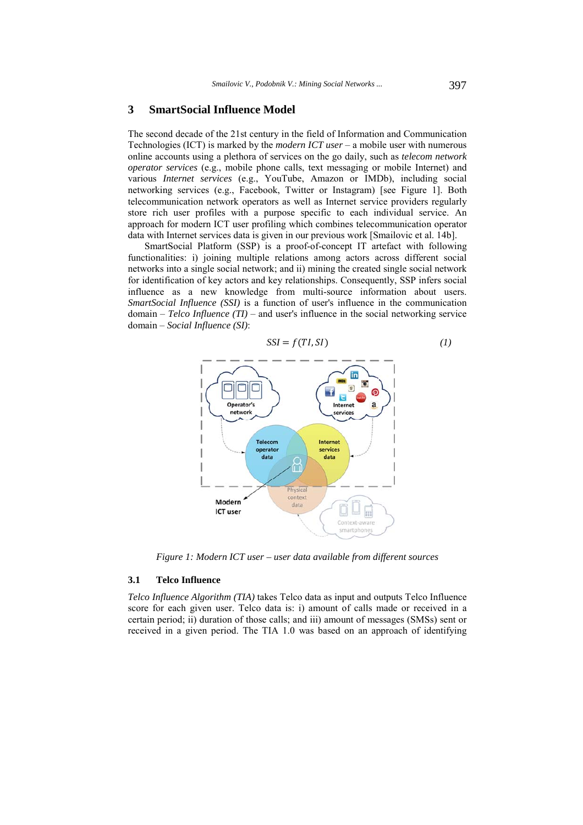# **3 SmartSocial Influence Model**

The second decade of the 21st century in the field of Information and Communication Technologies (ICT) is marked by the *modern ICT user* – a mobile user with numerous online accounts using a plethora of services on the go daily, such as *telecom network operator services* (e.g., mobile phone calls, text messaging or mobile Internet) and various *Internet services* (e.g., YouTube, Amazon or IMDb), including social networking services (e.g., Facebook, Twitter or Instagram) [see Figure 1]. Both telecommunication network operators as well as Internet service providers regularly store rich user profiles with a purpose specific to each individual service. An approach for modern ICT user profiling which combines telecommunication operator data with Internet services data is given in our previous work [Smailovic et al. 14b].

SmartSocial Platform (SSP) is a proof-of-concept IT artefact with following functionalities: i) joining multiple relations among actors across different social networks into a single social network; and ii) mining the created single social network for identification of key actors and key relationships. Consequently, SSP infers social influence as a new knowledge from multi-source information about users. *SmartSocial Influence (SSI)* is a function of user's influence in the communication domain – *Telco Influence (TI)* – and user's influence in the social networking service domain – *Social Influence (SI)*:



*Figure 1: Modern ICT user – user data available from different sources* 

#### **3.1 Telco Influence**

*Telco Influence Algorithm (TIA)* takes Telco data as input and outputs Telco Influence score for each given user. Telco data is: i) amount of calls made or received in a certain period; ii) duration of those calls; and iii) amount of messages (SMSs) sent or received in a given period. The TIA 1.0 was based on an approach of identifying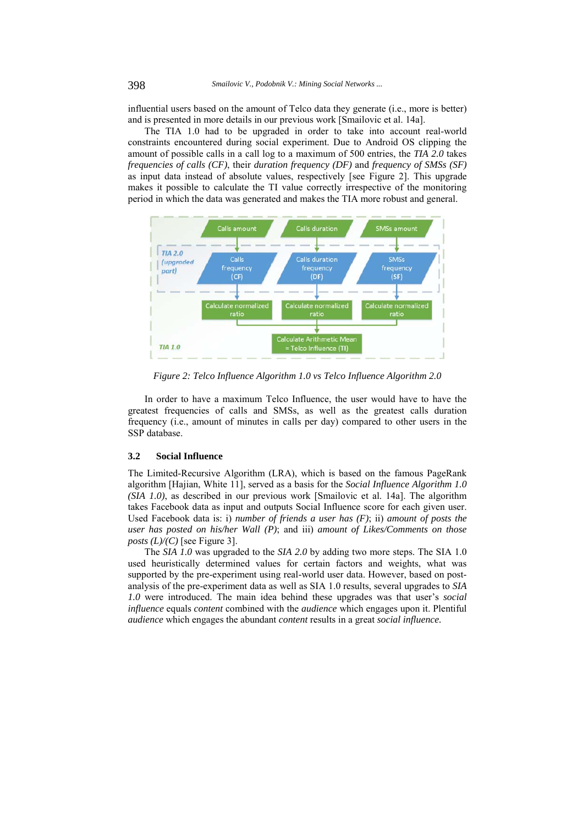influential users based on the amount of Telco data they generate (i.e., more is better) and is presented in more details in our previous work [Smailovic et al. 14a].

The TIA 1.0 had to be upgraded in order to take into account real-world constraints encountered during social experiment. Due to Android OS clipping the amount of possible calls in a call log to a maximum of 500 entries, the *TIA 2.0* takes *frequencies of calls (CF)*, their *duration frequency (DF)* and *frequency of SMSs (SF)* as input data instead of absolute values, respectively [see Figure 2]. This upgrade makes it possible to calculate the TI value correctly irrespective of the monitoring period in which the data was generated and makes the TIA more robust and general.



*Figure 2: Telco Influence Algorithm 1.0 vs Telco Influence Algorithm 2.0* 

In order to have a maximum Telco Influence, the user would have to have the greatest frequencies of calls and SMSs, as well as the greatest calls duration frequency (i.e., amount of minutes in calls per day) compared to other users in the SSP database.

# **3.2 Social Influence**

The Limited-Recursive Algorithm (LRA), which is based on the famous PageRank algorithm [Hajian, White 11], served as a basis for the *Social Influence Algorithm 1.0 (SIA 1.0)*, as described in our previous work [Smailovic et al. 14a]. The algorithm takes Facebook data as input and outputs Social Influence score for each given user. Used Facebook data is: i) *number of friends a user has (F)*; ii) *amount of posts the user has posted on his/her Wall (P)*; and iii) *amount of Likes/Comments on those posts (L)/(C)* [see Figure 3].

The *SIA 1.0* was upgraded to the *SIA 2.0* by adding two more steps. The SIA 1.0 used heuristically determined values for certain factors and weights, what was supported by the pre-experiment using real-world user data. However, based on postanalysis of the pre-experiment data as well as SIA 1.0 results, several upgrades to *SIA 1.0* were introduced. The main idea behind these upgrades was that user's *social influence* equals *content* combined with the *audience* which engages upon it. Plentiful *audience* which engages the abundant *content* results in a great *social influence.*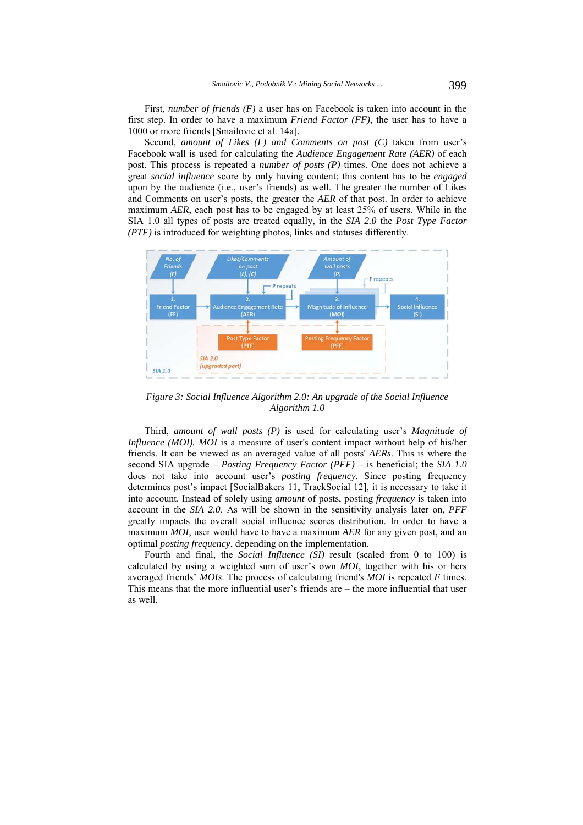First, *number of friends (F)* a user has on Facebook is taken into account in the first step. In order to have a maximum *Friend Factor (FF)*, the user has to have a 1000 or more friends [Smailovic et al. 14a].

Second, *amount of Likes (L) and Comments on post (C)* taken from user's Facebook wall is used for calculating the *Audience Engagement Rate (AER)* of each post. This process is repeated a *number of posts (P)* times. One does not achieve a great *social influence* score by only having content; this content has to be *engaged*  upon by the audience (i.e., user's friends) as well. The greater the number of Likes and Comments on user's posts, the greater the *AER* of that post. In order to achieve maximum *AER*, each post has to be engaged by at least 25% of users. While in the SIA 1.0 all types of posts are treated equally, in the *SIA 2.0* the *Post Type Factor (PTF)* is introduced for weighting photos, links and statuses differently.



*Figure 3: Social Influence Algorithm 2.0: An upgrade of the Social Influence Algorithm 1.0* 

Third, *amount of wall posts (P)* is used for calculating user's *Magnitude of Influence (MOI). MOI* is a measure of user's content impact without help of his/her friends. It can be viewed as an averaged value of all posts' *AERs*. This is where the second SIA upgrade – *Posting Frequency Factor (PFF)* – is beneficial; the *SIA 1.0* does not take into account user's *posting frequency.* Since posting frequency determines post's impact [SocialBakers 11, TrackSocial 12], it is necessary to take it into account. Instead of solely using *amount* of posts, posting *frequency* is taken into account in the *SIA 2.0*. As will be shown in the sensitivity analysis later on, *PFF* greatly impacts the overall social influence scores distribution. In order to have a maximum *MOI*, user would have to have a maximum *AER* for any given post, and an optimal *posting frequency*, depending on the implementation.

Fourth and final, the *Social Influence (SI)* result (scaled from 0 to 100) is calculated by using a weighted sum of user's own *MOI*, together with his or hers averaged friends' *MOIs*. The process of calculating friend's *MOI* is repeated *F* times. This means that the more influential user's friends are – the more influential that user as well.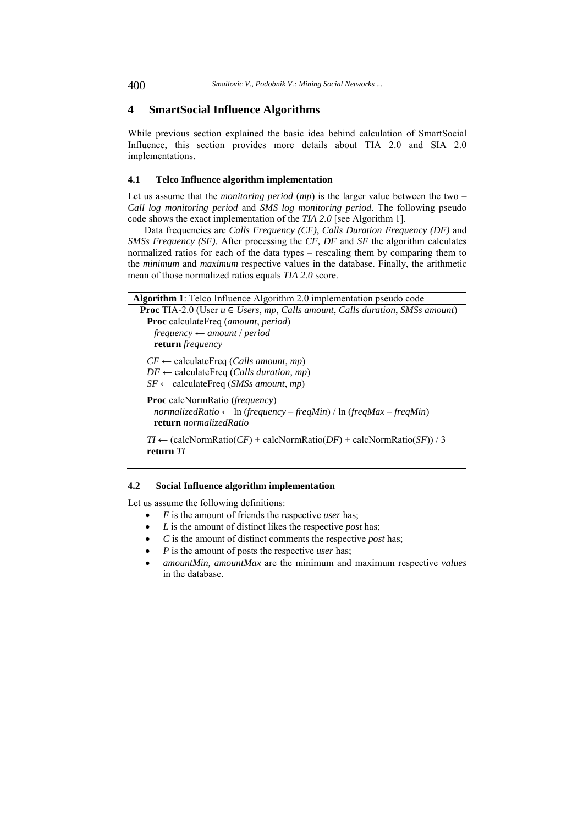# **4 SmartSocial Influence Algorithms**

While previous section explained the basic idea behind calculation of SmartSocial Influence, this section provides more details about TIA 2.0 and SIA 2.0 implementations.

### **4.1 Telco Influence algorithm implementation**

Let us assume that the *monitoring period* (*mp*) is the larger value between the two – *Call log monitoring period* and *SMS log monitoring period*. The following pseudo code shows the exact implementation of the *TIA 2.0* [see Algorithm 1].

Data frequencies are *Calls Frequency (CF)*, *Calls Duration Frequency (DF)* and *SMSs Frequency (SF)*. After processing the *CF, DF* and *SF* the algorithm calculates normalized ratios for each of the data types – rescaling them by comparing them to the *minimum* and *maximum* respective values in the database. Finally, the arithmetic mean of those normalized ratios equals *TIA 2.0* score.

|  |  | Algorithm 1: Telco Influence Algorithm 2.0 implementation pseudo code |
|--|--|-----------------------------------------------------------------------|
|--|--|-----------------------------------------------------------------------|

| <b>Proc</b> TIA-2.0 (User $u \in U$ sers, mp, Calls amount, Calls duration, SMSs amount) |  |
|------------------------------------------------------------------------------------------|--|
| <b>Proc</b> calculate Freq ( <i>amount, period</i> )                                     |  |
| frequency $\leftarrow$ amount / period                                                   |  |

**return** *frequency*

*CF* ← calculateFreq (*Calls amount*, *mp*)  $DF \leftarrow$  calculateFreq (*Calls duration*, *mp*)

 $SF \leftarrow$  calculateFreq (*SMSs amount*, *mp*)

**Proc** calcNormRatio (*frequency*) *normalizedRatio* ← ln (*frequency – freqMin*) / ln (*freqMax – freqMin*) **return** *normalizedRatio*

 $TI \leftarrow$  (calcNormRatio(*CF*) + calcNormRatio(*DF*) + calcNormRatio(*SF*)) / 3 **return** *TI* 

### **4.2 Social Influence algorithm implementation**

Let us assume the following definitions:

- *F* is the amount of friends the respective *user* has;
- *L* is the amount of distinct likes the respective *post* has;
- *C* is the amount of distinct comments the respective *post* has;
- *P* is the amount of posts the respective *user* has;
- *amountMin, amountMax* are the minimum and maximum respective *values* in the database.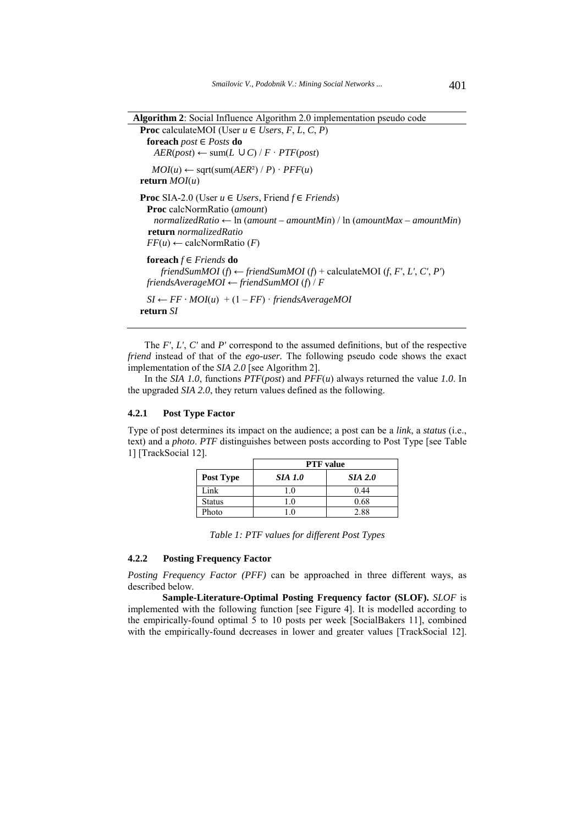```
Algorithm 2: Social Influence Algorithm 2.0 implementation pseudo code 
Proc calculateMOI (User u \in \text{Users}, F, L, C, P)
 foreach post ∈ Posts do 
   AER(post) ← sum(L ∪ C) / F \cdot PTF(post)MOI(u) \leftarrow sqrt(sum(AER^2) / P) \cdot PFF(u)return MOI(u) 
Proc SIA-2.0 (User u \in Users, Friend f \in Friends)
 Proc calcNormRatio (amount) 
   normalizedRatio ← ln (amount – amountMin) / ln (amountMax – amountMin) 
   return normalizedRatio
 FF(u) \leftarrow \text{calcNormRatio}(F)foreach f \in Friends do
     friendSumMOI (f) \leftarrow friendSumMOI (f) + calculateMOI (f, F', L', C', P')
 friendsAverageMOI ← friendSumMOI (f) / F 
 SI \leftarrow FF \cdot MOI(u) + (1 - FF) \cdot friendsAverageMOIreturn SI
```
The *F'*, *L'*, *C'* and *P'* correspond to the assumed definitions, but of the respective *friend* instead of that of the *ego-user.* The following pseudo code shows the exact implementation of the *SIA 2.0* [see Algorithm 2].

In the *SIA 1.0*, functions *PTF*(*post*) and *PFF*(*u*) always returned the value *1.0*. In the upgraded *SIA 2.0*, they return values defined as the following.

# **4.2.1 Post Type Factor**

Type of post determines its impact on the audience; a post can be a *link*, a *status* (i.e., text) and a *photo*. *PTF* distinguishes between posts according to Post Type [see Table 1] [TrackSocial 12].

|               | <b>PTF</b> value |                |  |
|---------------|------------------|----------------|--|
| Post Type     | <b>SIA 1.0</b>   | <b>SIA 2.0</b> |  |
| Link.         | $\Omega$         | 0.44           |  |
| <b>Status</b> |                  | 0.68           |  |
| Photo         |                  | 2.88           |  |

*Table 1: PTF values for different Post Types* 

#### **4.2.2 Posting Frequency Factor**

*Posting Frequency Factor (PFF)* can be approached in three different ways, as described below.

**Sample-Literature-Optimal Posting Frequency factor (SLOF).** *SLOF* is implemented with the following function [see Figure 4]. It is modelled according to the empirically-found optimal 5 to 10 posts per week [SocialBakers 11], combined with the empirically-found decreases in lower and greater values [TrackSocial 12].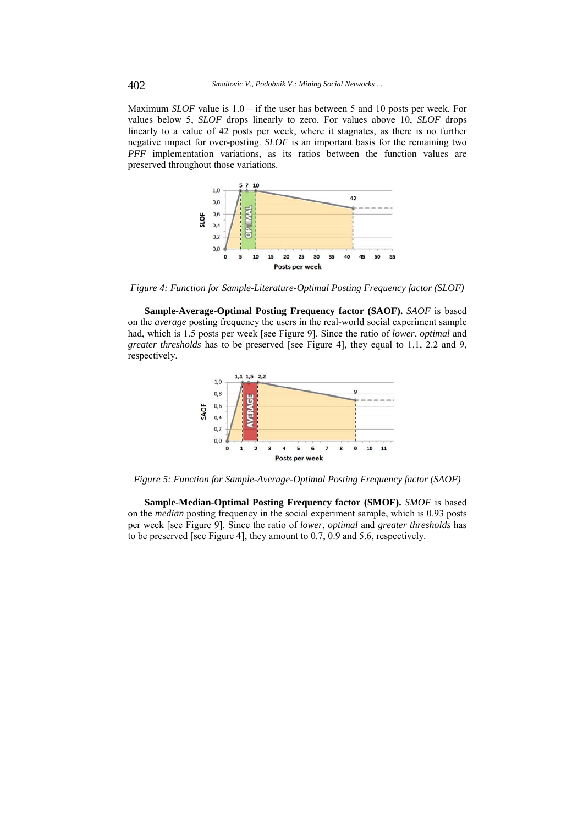Maximum *SLOF* value is 1.0 – if the user has between 5 and 10 posts per week. For values below 5, *SLOF* drops linearly to zero. For values above 10, *SLOF* drops linearly to a value of 42 posts per week, where it stagnates, as there is no further negative impact for over-posting. *SLOF* is an important basis for the remaining two *PFF* implementation variations, as its ratios between the function values are preserved throughout those variations.



*Figure 4: Function for Sample-Literature-Optimal Posting Frequency factor (SLOF)* 

**Sample-Average-Optimal Posting Frequency factor (SAOF).** *SAOF* is based on the *average* posting frequency the users in the real-world social experiment sample had, which is 1.5 posts per week [see Figure 9]. Since the ratio of *lower*, *optimal* and *greater thresholds* has to be preserved [see Figure 4], they equal to 1.1, 2.2 and 9, respectively.



*Figure 5: Function for Sample-Average-Optimal Posting Frequency factor (SAOF)* 

**Sample-Median-Optimal Posting Frequency factor (SMOF).** *SMOF* is based on the *median* posting frequency in the social experiment sample, which is 0.93 posts per week [see Figure 9]. Since the ratio of *lower*, *optimal* and *greater thresholds* has to be preserved [see Figure 4], they amount to 0.7, 0.9 and 5.6, respectively.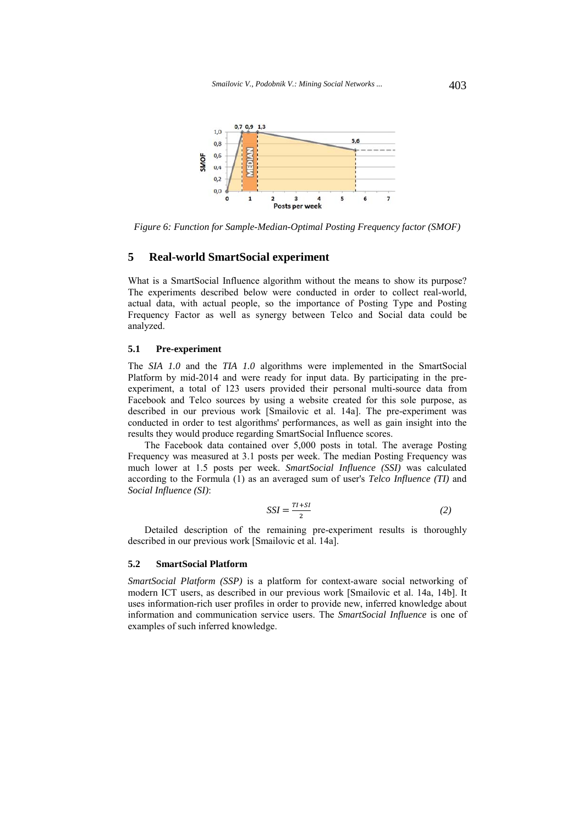

*Figure 6: Function for Sample-Median-Optimal Posting Frequency factor (SMOF)* 

# **5 Real-world SmartSocial experiment**

What is a SmartSocial Influence algorithm without the means to show its purpose? The experiments described below were conducted in order to collect real-world, actual data, with actual people, so the importance of Posting Type and Posting Frequency Factor as well as synergy between Telco and Social data could be analyzed.

### **5.1 Pre-experiment**

The *SIA 1.0* and the *TIA 1.0* algorithms were implemented in the SmartSocial Platform by mid-2014 and were ready for input data. By participating in the preexperiment, a total of 123 users provided their personal multi-source data from Facebook and Telco sources by using a website created for this sole purpose, as described in our previous work [Smailovic et al. 14a]. The pre-experiment was conducted in order to test algorithms' performances, as well as gain insight into the results they would produce regarding SmartSocial Influence scores.

The Facebook data contained over 5,000 posts in total. The average Posting Frequency was measured at 3.1 posts per week. The median Posting Frequency was much lower at 1.5 posts per week. *SmartSocial Influence (SSI)* was calculated according to the Formula (1) as an averaged sum of user's *Telco Influence (TI)* and *Social Influence (SI)*:

$$
SSI = \frac{TI + SI}{2} \tag{2}
$$

Detailed description of the remaining pre-experiment results is thoroughly described in our previous work [Smailovic et al. 14a].

### **5.2 SmartSocial Platform**

*SmartSocial Platform (SSP)* is a platform for context-aware social networking of modern ICT users, as described in our previous work [Smailovic et al. 14a, 14b]. It uses information-rich user profiles in order to provide new, inferred knowledge about information and communication service users. The *SmartSocial Influence* is one of examples of such inferred knowledge.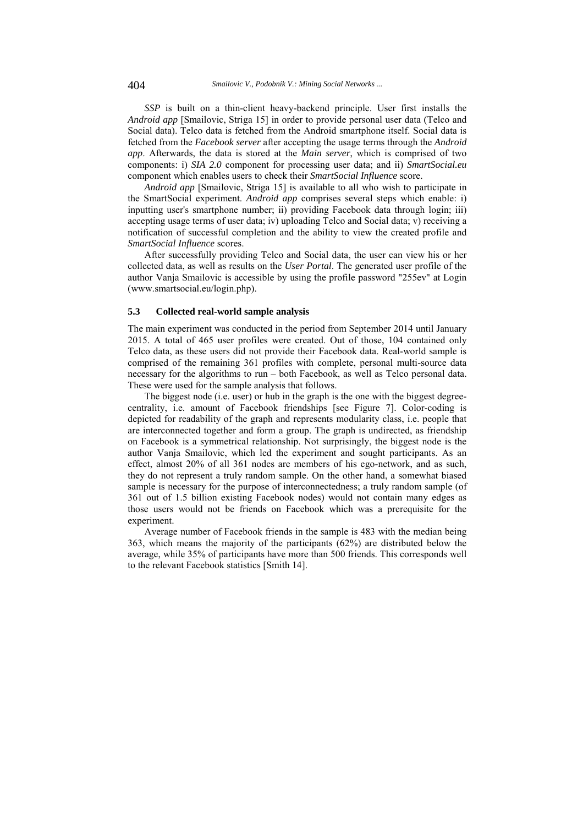*SSP* is built on a thin-client heavy-backend principle. User first installs the *Android app* [Smailovic, Striga 15] in order to provide personal user data (Telco and Social data). Telco data is fetched from the Android smartphone itself. Social data is fetched from the *Facebook server* after accepting the usage terms through the *Android app*. Afterwards, the data is stored at the *Main server*, which is comprised of two components: i) *SIA 2.0* component for processing user data; and ii) *SmartSocial.eu* component which enables users to check their *SmartSocial Influence* score.

*Android app* [Smailovic, Striga 15] is available to all who wish to participate in the SmartSocial experiment. *Android app* comprises several steps which enable: i) inputting user's smartphone number; ii) providing Facebook data through login; iii) accepting usage terms of user data; iv) uploading Telco and Social data; v) receiving a notification of successful completion and the ability to view the created profile and *SmartSocial Influence* scores.

After successfully providing Telco and Social data, the user can view his or her collected data, as well as results on the *User Portal*. The generated user profile of the author Vanja Smailovic is accessible by using the profile password "255ev" at Login (www.smartsocial.eu/login.php).

#### **5.3 Collected real-world sample analysis**

The main experiment was conducted in the period from September 2014 until January 2015. A total of 465 user profiles were created. Out of those, 104 contained only Telco data, as these users did not provide their Facebook data. Real-world sample is comprised of the remaining 361 profiles with complete, personal multi-source data necessary for the algorithms to run – both Facebook, as well as Telco personal data. These were used for the sample analysis that follows.

The biggest node (i.e. user) or hub in the graph is the one with the biggest degreecentrality, i.e. amount of Facebook friendships [see Figure 7]. Color-coding is depicted for readability of the graph and represents modularity class, i.e. people that are interconnected together and form a group. The graph is undirected, as friendship on Facebook is a symmetrical relationship. Not surprisingly, the biggest node is the author Vanja Smailovic, which led the experiment and sought participants. As an effect, almost 20% of all 361 nodes are members of his ego-network, and as such, they do not represent a truly random sample. On the other hand, a somewhat biased sample is necessary for the purpose of interconnectedness; a truly random sample (of 361 out of 1.5 billion existing Facebook nodes) would not contain many edges as those users would not be friends on Facebook which was a prerequisite for the experiment.

Average number of Facebook friends in the sample is 483 with the median being 363, which means the majority of the participants (62%) are distributed below the average, while 35% of participants have more than 500 friends. This corresponds well to the relevant Facebook statistics [Smith 14].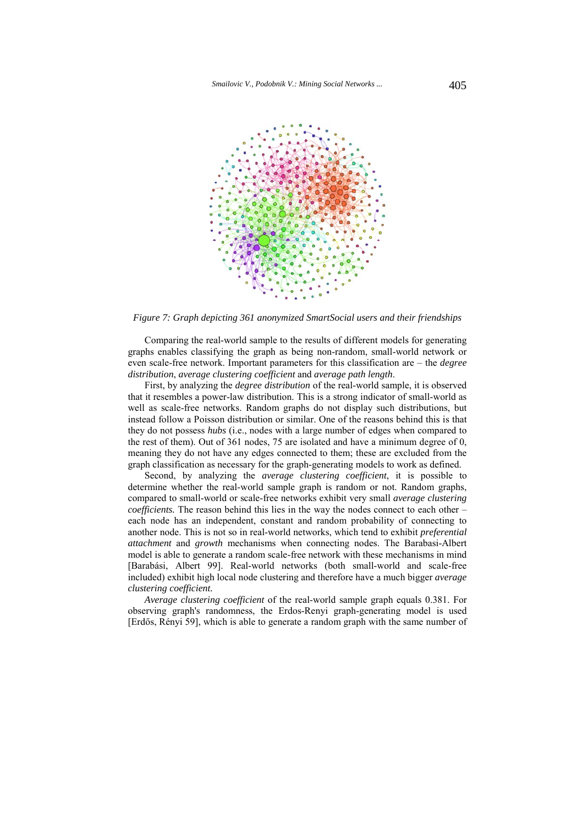

*Figure 7: Graph depicting 361 anonymized SmartSocial users and their friendships* 

Comparing the real-world sample to the results of different models for generating graphs enables classifying the graph as being non-random, small-world network or even scale-free network. Important parameters for this classification are – the *degree distribution*, *average clustering coefficient* and *average path length*.

First, by analyzing the *degree distribution* of the real-world sample, it is observed that it resembles a power-law distribution. This is a strong indicator of small-world as well as scale-free networks. Random graphs do not display such distributions, but instead follow a Poisson distribution or similar. One of the reasons behind this is that they do not possess *hubs* (i.e., nodes with a large number of edges when compared to the rest of them). Out of 361 nodes, 75 are isolated and have a minimum degree of 0, meaning they do not have any edges connected to them; these are excluded from the graph classification as necessary for the graph-generating models to work as defined.

Second, by analyzing the *average clustering coefficient*, it is possible to determine whether the real-world sample graph is random or not. Random graphs, compared to small-world or scale-free networks exhibit very small *average clustering coefficients.* The reason behind this lies in the way the nodes connect to each other – each node has an independent, constant and random probability of connecting to another node. This is not so in real-world networks, which tend to exhibit *preferential attachment* and *growth* mechanisms when connecting nodes. The Barabasi-Albert model is able to generate a random scale-free network with these mechanisms in mind [Barabási, Albert 99]. Real-world networks (both small-world and scale-free included) exhibit high local node clustering and therefore have a much bigger *average clustering coefficient.* 

*Average clustering coefficient* of the real-world sample graph equals 0.381. For observing graph's randomness, the Erdos-Renyi graph-generating model is used [Erdős, Rényi 59], which is able to generate a random graph with the same number of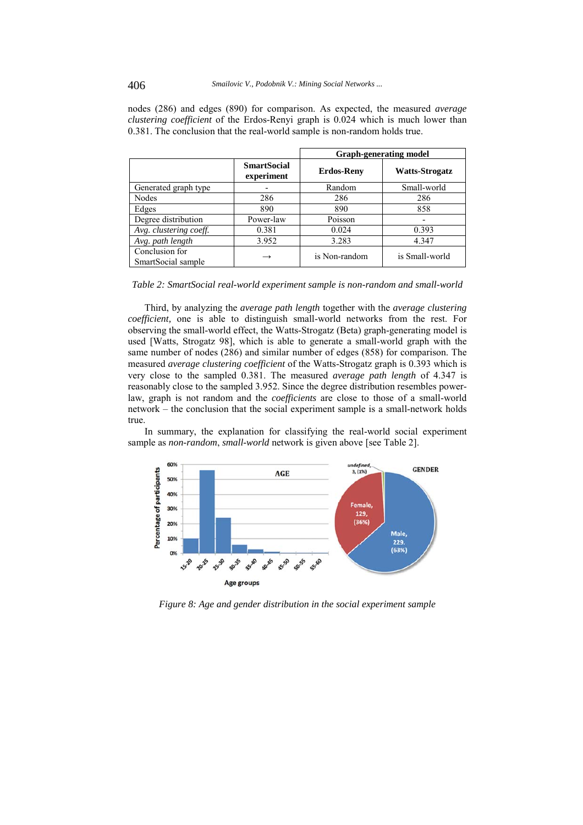nodes (286) and edges (890) for comparison. As expected, the measured *average clustering coefficient* of the Erdos-Renyi graph is 0.024 which is much lower than 0.381. The conclusion that the real-world sample is non-random holds true.

|                                      |                                  | <b>Graph-generating model</b> |                |
|--------------------------------------|----------------------------------|-------------------------------|----------------|
|                                      | <b>SmartSocial</b><br>experiment | <b>Erdos-Reny</b>             | Watts-Strogatz |
| Generated graph type                 |                                  | Random                        | Small-world    |
| Nodes                                | 286                              | 286                           | 286            |
| Edges                                | 890                              | 890                           | 858            |
| Degree distribution                  | Power-law                        | Poisson                       |                |
| Avg. clustering coeff.               | 0.381                            | 0.024                         | 0.393          |
| Avg. path length                     | 3.952                            | 3.283                         | 4.347          |
| Conclusion for<br>SmartSocial sample | $\rightarrow$                    | is Non-random                 | is Small-world |

*Table 2: SmartSocial real-world experiment sample is non-random and small-world* 

Third, by analyzing the *average path length* together with the *average clustering coefficient,* one is able to distinguish small-world networks from the rest. For observing the small-world effect, the Watts-Strogatz (Beta) graph-generating model is used [Watts, Strogatz 98], which is able to generate a small-world graph with the same number of nodes (286) and similar number of edges (858) for comparison. The measured *average clustering coefficient* of the Watts-Strogatz graph is 0.393 which is very close to the sampled 0.381. The measured *average path length* of 4.347 is reasonably close to the sampled 3.952. Since the degree distribution resembles powerlaw, graph is not random and the *coefficients* are close to those of a small-world network – the conclusion that the social experiment sample is a small-network holds true.

In summary, the explanation for classifying the real-world social experiment sample as *non-random*, *small-world* network is given above [see Table 2].



*Figure 8: Age and gender distribution in the social experiment sample*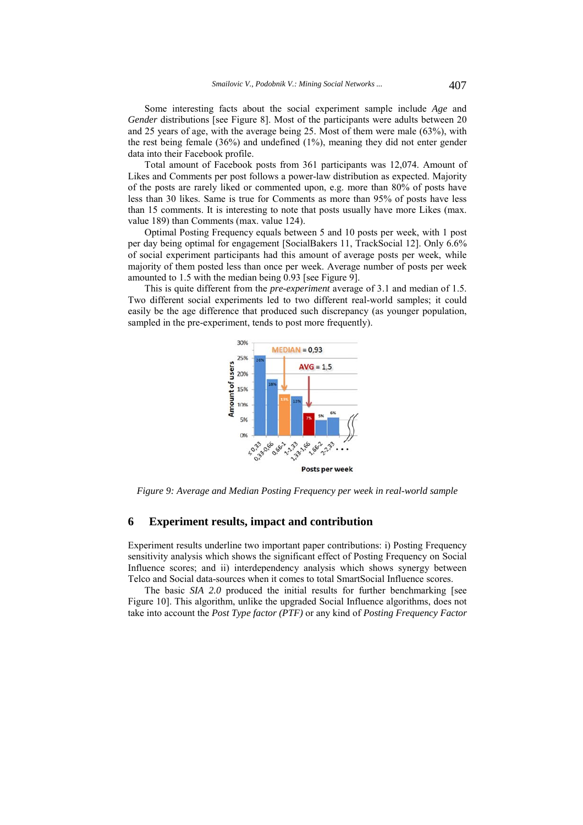Some interesting facts about the social experiment sample include *Age* and *Gender* distributions [see Figure 8]. Most of the participants were adults between 20 and 25 years of age, with the average being 25. Most of them were male (63%), with the rest being female (36%) and undefined (1%), meaning they did not enter gender data into their Facebook profile.

Total amount of Facebook posts from 361 participants was 12,074. Amount of Likes and Comments per post follows a power-law distribution as expected. Majority of the posts are rarely liked or commented upon, e.g. more than 80% of posts have less than 30 likes. Same is true for Comments as more than 95% of posts have less than 15 comments. It is interesting to note that posts usually have more Likes (max. value 189) than Comments (max. value 124).

Optimal Posting Frequency equals between 5 and 10 posts per week, with 1 post per day being optimal for engagement [SocialBakers 11, TrackSocial 12]. Only 6.6% of social experiment participants had this amount of average posts per week, while majority of them posted less than once per week. Average number of posts per week amounted to 1.5 with the median being 0.93 [see Figure 9].

This is quite different from the *pre-experiment* average of 3.1 and median of 1.5. Two different social experiments led to two different real-world samples; it could easily be the age difference that produced such discrepancy (as younger population, sampled in the pre-experiment, tends to post more frequently).



*Figure 9: Average and Median Posting Frequency per week in real-world sample* 

# **6 Experiment results, impact and contribution**

Experiment results underline two important paper contributions: i) Posting Frequency sensitivity analysis which shows the significant effect of Posting Frequency on Social Influence scores; and ii) interdependency analysis which shows synergy between Telco and Social data-sources when it comes to total SmartSocial Influence scores.

The basic *SIA 2.0* produced the initial results for further benchmarking [see Figure 10]. This algorithm, unlike the upgraded Social Influence algorithms, does not take into account the *Post Type factor (PTF)* or any kind of *Posting Frequency Factor*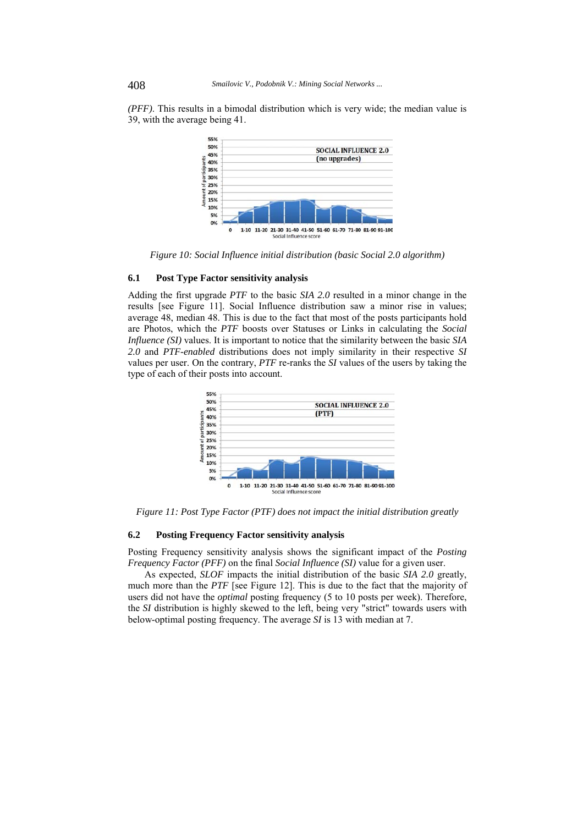*(PFF)*. This results in a bimodal distribution which is very wide; the median value is 39, with the average being 41.



*Figure 10: Social Influence initial distribution (basic Social 2.0 algorithm)* 

# **6.1 Post Type Factor sensitivity analysis**

Adding the first upgrade *PTF* to the basic *SIA 2.0* resulted in a minor change in the results [see Figure 11]. Social Influence distribution saw a minor rise in values; average 48, median 48. This is due to the fact that most of the posts participants hold are Photos, which the *PTF* boosts over Statuses or Links in calculating the *Social Influence (SI)* values. It is important to notice that the similarity between the basic *SIA 2.0* and *PTF-enabled* distributions does not imply similarity in their respective *SI* values per user. On the contrary, *PTF* re-ranks the *SI* values of the users by taking the type of each of their posts into account.



*Figure 11: Post Type Factor (PTF) does not impact the initial distribution greatly* 

#### **6.2 Posting Frequency Factor sensitivity analysis**

Posting Frequency sensitivity analysis shows the significant impact of the *Posting Frequency Factor (PFF)* on the final *Social Influence (SI)* value for a given user.

As expected, *SLOF* impacts the initial distribution of the basic *SIA 2.0* greatly, much more than the *PTF* [see Figure 12]. This is due to the fact that the majority of users did not have the *optimal* posting frequency (5 to 10 posts per week). Therefore, the *SI* distribution is highly skewed to the left, being very "strict" towards users with below-optimal posting frequency. The average *SI* is 13 with median at 7.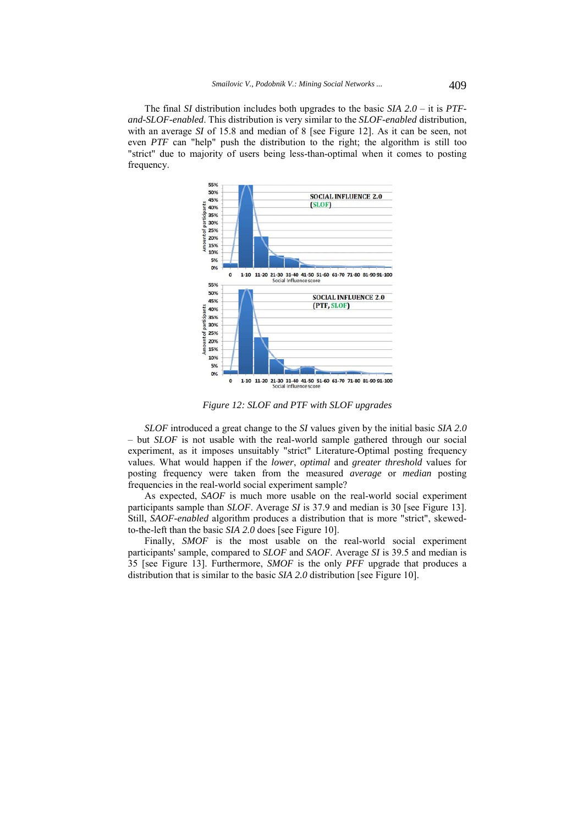The final *SI* distribution includes both upgrades to the basic *SIA 2.0* – it is *PTFand-SLOF-enabled*. This distribution is very similar to the *SLOF-enabled* distribution, with an average *SI* of 15.8 and median of 8 [see Figure 12]. As it can be seen, not even *PTF* can "help" push the distribution to the right; the algorithm is still too "strict" due to majority of users being less-than-optimal when it comes to posting frequency.



*Figure 12: SLOF and PTF with SLOF upgrades* 

*SLOF* introduced a great change to the *SI* values given by the initial basic *SIA 2.0* – but *SLOF* is not usable with the real-world sample gathered through our social experiment, as it imposes unsuitably "strict" Literature-Optimal posting frequency values. What would happen if the *lower*, *optimal* and *greater threshold* values for posting frequency were taken from the measured *average* or *median* posting frequencies in the real-world social experiment sample?

As expected, *SAOF* is much more usable on the real-world social experiment participants sample than *SLOF*. Average *SI* is 37.9 and median is 30 [see Figure 13]. Still, *SAOF-enabled* algorithm produces a distribution that is more "strict", skewedto-the-left than the basic *SIA 2.0* does [see Figure 10].

Finally, *SMOF* is the most usable on the real-world social experiment participants' sample, compared to *SLOF* and *SAOF*. Average *SI* is 39.5 and median is 35 [see Figure 13]. Furthermore, *SMOF* is the only *PFF* upgrade that produces a distribution that is similar to the basic *SIA 2.0* distribution [see Figure 10].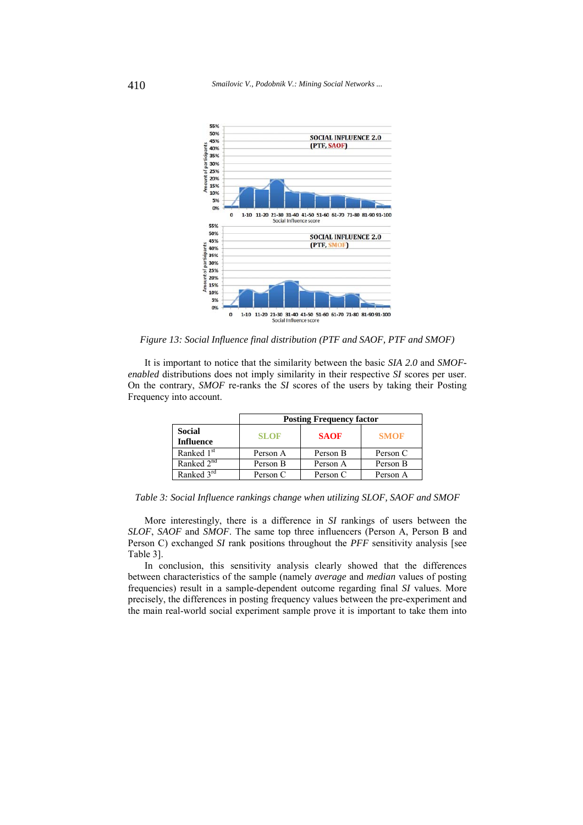

*Figure 13: Social Influence final distribution (PTF and SAOF, PTF and SMOF)* 

It is important to notice that the similarity between the basic *SIA 2.0* and *SMOFenabled* distributions does not imply similarity in their respective *SI* scores per user. On the contrary, *SMOF* re-ranks the *SI* scores of the users by taking their Posting Frequency into account.

|                                   | <b>Posting Frequency factor</b> |             |             |
|-----------------------------------|---------------------------------|-------------|-------------|
| <b>Social</b><br><b>Influence</b> | <b>SLOF</b>                     | <b>SAOF</b> | <b>SMOF</b> |
| Ranked 1 <sup>st</sup>            | Person A                        | Person B    | Person C    |
| Ranked 2 <sup>nd</sup>            | Person B                        | Person A    | Person B    |
| Ranked $3^{\overline{rd}}$        | Person C                        | Person C    | Person A    |

*Table 3: Social Influence rankings change when utilizing SLOF, SAOF and SMOF* 

More interestingly, there is a difference in *SI* rankings of users between the *SLOF*, *SAOF* and *SMOF*. The same top three influencers (Person A, Person B and Person C) exchanged *SI* rank positions throughout the *PFF* sensitivity analysis [see Table 3].

In conclusion, this sensitivity analysis clearly showed that the differences between characteristics of the sample (namely *average* and *median* values of posting frequencies) result in a sample-dependent outcome regarding final *SI* values. More precisely, the differences in posting frequency values between the pre-experiment and the main real-world social experiment sample prove it is important to take them into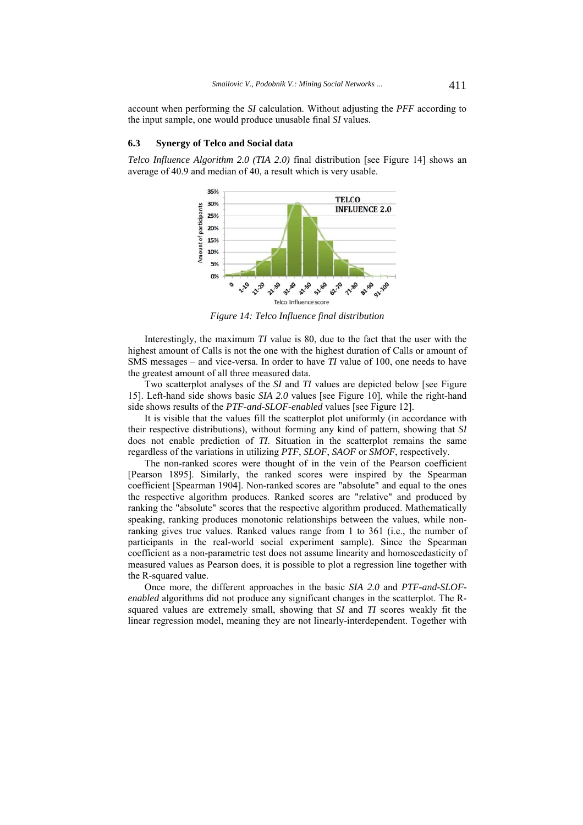account when performing the *SI* calculation. Without adjusting the *PFF* according to the input sample, one would produce unusable final *SI* values.

### **6.3 Synergy of Telco and Social data**

*Telco Influence Algorithm 2.0 (TIA 2.0)* final distribution [see Figure 14] shows an average of 40.9 and median of 40, a result which is very usable.



*Figure 14: Telco Influence final distribution* 

Interestingly, the maximum *TI* value is 80, due to the fact that the user with the highest amount of Calls is not the one with the highest duration of Calls or amount of SMS messages – and vice-versa. In order to have *TI* value of 100, one needs to have the greatest amount of all three measured data.

Two scatterplot analyses of the *SI* and *TI* values are depicted below [see Figure 15]. Left-hand side shows basic *SIA 2.0* values [see Figure 10], while the right-hand side shows results of the *PTF-and-SLOF-enabled* values [see Figure 12].

It is visible that the values fill the scatterplot plot uniformly (in accordance with their respective distributions), without forming any kind of pattern, showing that *SI* does not enable prediction of *TI*. Situation in the scatterplot remains the same regardless of the variations in utilizing *PTF*, *SLOF*, *SAOF* or *SMOF*, respectively.

The non-ranked scores were thought of in the vein of the Pearson coefficient [Pearson 1895]. Similarly, the ranked scores were inspired by the Spearman coefficient [Spearman 1904]. Non-ranked scores are "absolute" and equal to the ones the respective algorithm produces. Ranked scores are "relative" and produced by ranking the "absolute" scores that the respective algorithm produced. Mathematically speaking, ranking produces monotonic relationships between the values, while nonranking gives true values. Ranked values range from 1 to 361 (i.e., the number of participants in the real-world social experiment sample). Since the Spearman coefficient as a non-parametric test does not assume linearity and homoscedasticity of measured values as Pearson does, it is possible to plot a regression line together with the R-squared value.

Once more, the different approaches in the basic *SIA 2.0* and *PTF-and-SLOFenabled* algorithms did not produce any significant changes in the scatterplot. The Rsquared values are extremely small, showing that *SI* and *TI* scores weakly fit the linear regression model, meaning they are not linearly-interdependent. Together with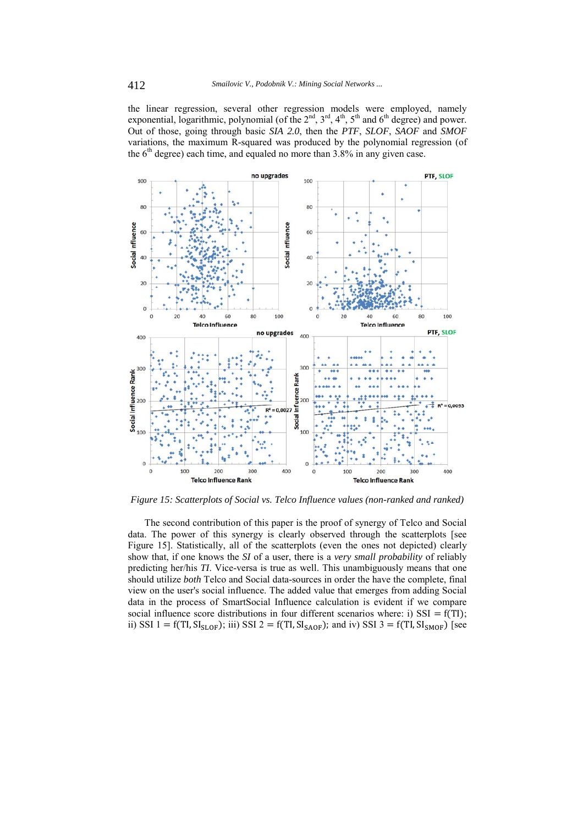the linear regression, several other regression models were employed, namely exponential, logarithmic, polynomial (of the  $2<sup>nd</sup>$ ,  $3<sup>rd</sup>$ ,  $4<sup>th</sup>$ ,  $5<sup>th</sup>$  and  $6<sup>th</sup>$  degree) and power. Out of those, going through basic *SIA 2.0*, then the *PTF*, *SLOF*, *SAOF* and *SMOF* variations, the maximum R-squared was produced by the polynomial regression (of the  $6<sup>th</sup>$  degree) each time, and equaled no more than 3.8% in any given case.



*Figure 15: Scatterplots of Social vs. Telco Influence values (non-ranked and ranked)* 

The second contribution of this paper is the proof of synergy of Telco and Social data. The power of this synergy is clearly observed through the scatterplots [see Figure 15]. Statistically, all of the scatterplots (even the ones not depicted) clearly show that, if one knows the *SI* of a user, there is a *very small probability* of reliably predicting her/his *TI*. Vice-versa is true as well. This unambiguously means that one should utilize *both* Telco and Social data-sources in order the have the complete, final view on the user's social influence. The added value that emerges from adding Social data in the process of SmartSocial Influence calculation is evident if we compare social influence score distributions in four different scenarios where: i)  $SSI = f(TI)$ ; ii) SSI 1 = f(TI,  $SI_{SLOF}$ ); iii) SSI 2 = f(TI,  $SI_{SAOF}$ ); and iv) SSI 3 = f(TI,  $SI_{SMOF}$ ) [see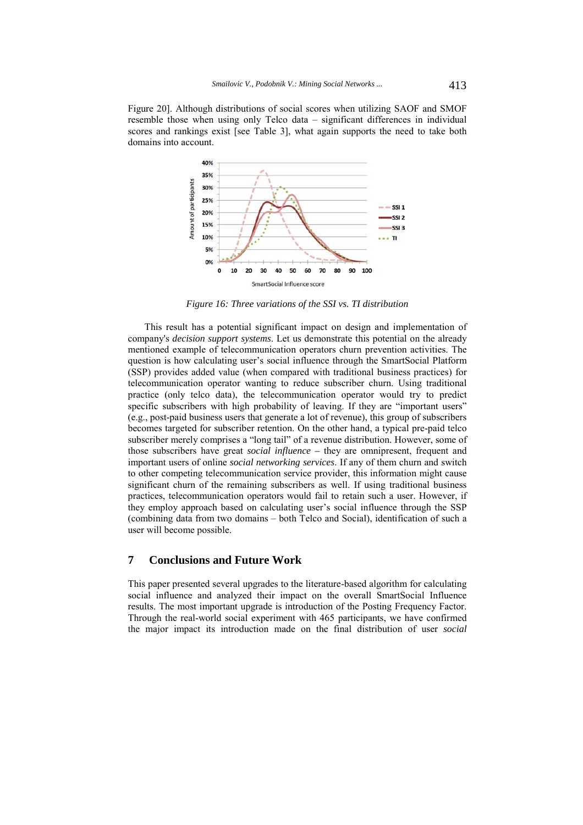Figure 20]. Although distributions of social scores when utilizing SAOF and SMOF resemble those when using only Telco data – significant differences in individual scores and rankings exist [see Table 3], what again supports the need to take both domains into account.



*Figure 16: Three variations of the SSI vs. TI distribution* 

This result has a potential significant impact on design and implementation of company's *decision support systems*. Let us demonstrate this potential on the already mentioned example of telecommunication operators churn prevention activities. The question is how calculating user's social influence through the SmartSocial Platform (SSP) provides added value (when compared with traditional business practices) for telecommunication operator wanting to reduce subscriber churn. Using traditional practice (only telco data), the telecommunication operator would try to predict specific subscribers with high probability of leaving. If they are "important users" (e.g., post-paid business users that generate a lot of revenue), this group of subscribers becomes targeted for subscriber retention. On the other hand, a typical pre-paid telco subscriber merely comprises a "long tail" of a revenue distribution. However, some of those subscribers have great *social influence –* they are omnipresent, frequent and important users of online *social networking services*. If any of them churn and switch to other competing telecommunication service provider, this information might cause significant churn of the remaining subscribers as well. If using traditional business practices, telecommunication operators would fail to retain such a user. However, if they employ approach based on calculating user's social influence through the SSP (combining data from two domains – both Telco and Social), identification of such a user will become possible.

# **7 Conclusions and Future Work**

This paper presented several upgrades to the literature-based algorithm for calculating social influence and analyzed their impact on the overall SmartSocial Influence results. The most important upgrade is introduction of the Posting Frequency Factor. Through the real-world social experiment with 465 participants, we have confirmed the major impact its introduction made on the final distribution of user *social*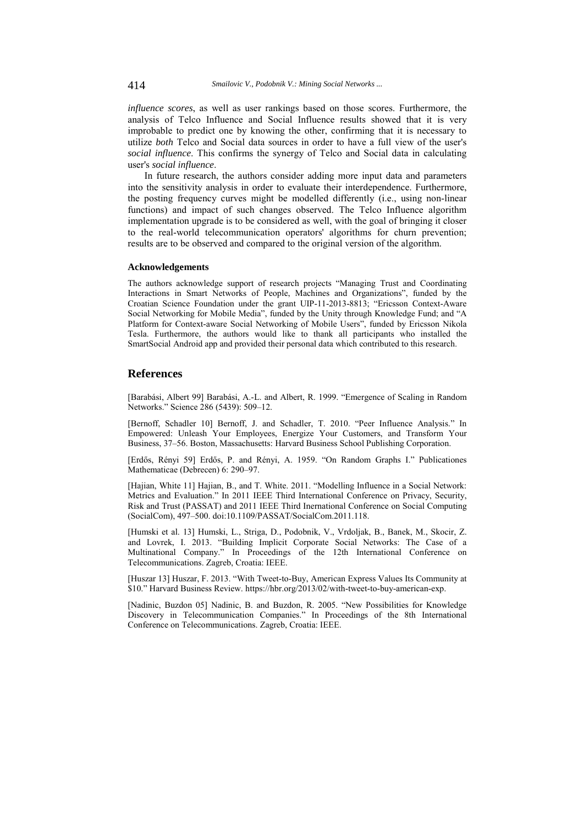*influence scores*, as well as user rankings based on those scores. Furthermore, the analysis of Telco Influence and Social Influence results showed that it is very improbable to predict one by knowing the other, confirming that it is necessary to utilize *both* Telco and Social data sources in order to have a full view of the user's *social influence*. This confirms the synergy of Telco and Social data in calculating user's *social influence*.

In future research, the authors consider adding more input data and parameters into the sensitivity analysis in order to evaluate their interdependence. Furthermore, the posting frequency curves might be modelled differently (i.e., using non-linear functions) and impact of such changes observed. The Telco Influence algorithm implementation upgrade is to be considered as well, with the goal of bringing it closer to the real-world telecommunication operators' algorithms for churn prevention; results are to be observed and compared to the original version of the algorithm.

#### **Acknowledgements**

The authors acknowledge support of research projects "Managing Trust and Coordinating Interactions in Smart Networks of People, Machines and Organizations", funded by the Croatian Science Foundation under the grant UIP-11-2013-8813; "Ericsson Context-Aware Social Networking for Mobile Media", funded by the Unity through Knowledge Fund; and "A Platform for Context-aware Social Networking of Mobile Users", funded by Ericsson Nikola Tesla. Furthermore, the authors would like to thank all participants who installed the SmartSocial Android app and provided their personal data which contributed to this research.

# **References**

[Barabási, Albert 99] Barabási, A.-L. and Albert, R. 1999. "Emergence of Scaling in Random Networks." Science 286 (5439): 509–12.

[Bernoff, Schadler 10] Bernoff, J. and Schadler, T. 2010. "Peer Influence Analysis." In Empowered: Unleash Your Employees, Energize Your Customers, and Transform Your Business, 37–56. Boston, Massachusetts: Harvard Business School Publishing Corporation.

[Erdős, Rényi 59] Erdős, P. and Rényi, A. 1959. "On Random Graphs I." Publicationes Mathematicae (Debrecen) 6: 290–97.

[Hajian, White 11] Hajian, B., and T. White. 2011. "Modelling Influence in a Social Network: Metrics and Evaluation." In 2011 IEEE Third International Conference on Privacy, Security, Risk and Trust (PASSAT) and 2011 IEEE Third Inernational Conference on Social Computing (SocialCom), 497–500. doi:10.1109/PASSAT/SocialCom.2011.118.

[Humski et al. 13] Humski, L., Striga, D., Podobnik, V., Vrdoljak, B., Banek, M., Skocir, Z. and Lovrek, I. 2013. "Building Implicit Corporate Social Networks: The Case of a Multinational Company." In Proceedings of the 12th International Conference on Telecommunications. Zagreb, Croatia: IEEE.

[Huszar 13] Huszar, F. 2013. "With Tweet-to-Buy, American Express Values Its Community at \$10." Harvard Business Review. https://hbr.org/2013/02/with-tweet-to-buy-american-exp.

[Nadinic, Buzdon 05] Nadinic, B. and Buzdon, R. 2005. "New Possibilities for Knowledge Discovery in Telecommunication Companies." In Proceedings of the 8th International Conference on Telecommunications. Zagreb, Croatia: IEEE.